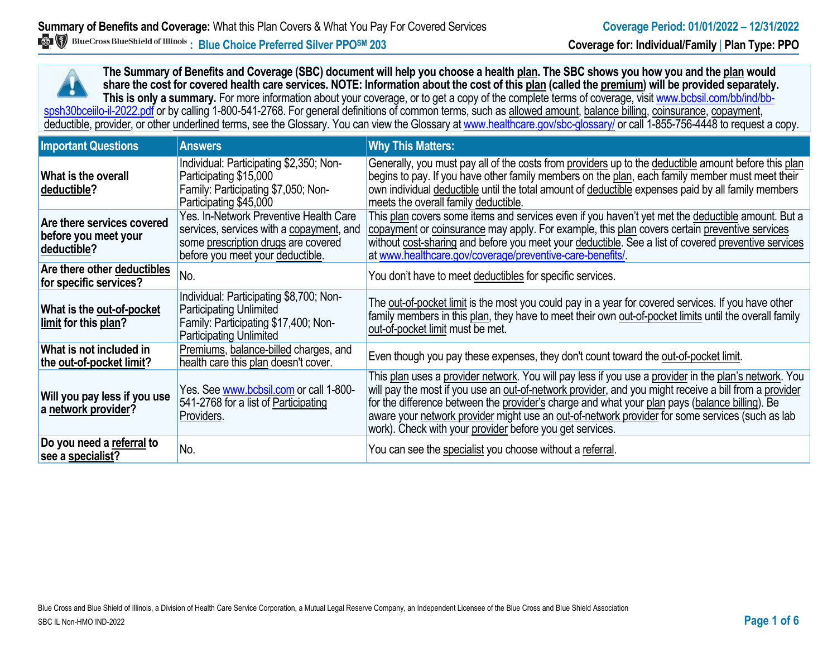**The Summary of Benefits and Coverage (SBC) document will help you choose a health plan. The SBC shows you how you and the plan would share the cost for covered health care services. NOTE: Information about the cost of this plan (called the premium) will be provided separately.** This is only a summary. For more information about your coverage, or to get a copy of the complete terms of coverage, visit www.bcbsil.com/bb/ind/bbspsh30bceiilo-il-2022.pdf or by calling 1-800-541-2768. For general definitions of common terms, such as allowed amount, balance billing, coinsurance, copayment, deductible, provider, or other underlined terms, see the Glossary. You can view the Glossary a[t www.healthcare.gov/sbc-glossary/](http://www.healthcare.gov/sbc-glossary/) or call 1-855-756-4448 to request a copy.

| <b>Important Questions</b>                                        | <b>Answers</b>                                                                                                                                                | <b>Why This Matters:</b>                                                                                                                                                                                                                                                                                                                                                                                                                                                        |
|-------------------------------------------------------------------|---------------------------------------------------------------------------------------------------------------------------------------------------------------|---------------------------------------------------------------------------------------------------------------------------------------------------------------------------------------------------------------------------------------------------------------------------------------------------------------------------------------------------------------------------------------------------------------------------------------------------------------------------------|
| What is the overall<br>deductible?                                | Individual: Participating \$2,350; Non-<br>Participating \$15,000<br>Family: Participating \$7,050; Non-<br>Participating \$45,000                            | Generally, you must pay all of the costs from providers up to the deductible amount before this plan<br>begins to pay. If you have other family members on the plan, each family member must meet their<br>own individual deductible until the total amount of deductible expenses paid by all family members<br>meets the overall family deductible.                                                                                                                           |
| Are there services covered<br>before you meet your<br>deductible? | Yes. In-Network Preventive Health Care<br>services, services with a copayment, and<br>some prescription drugs are covered<br>before you meet your deductible. | This plan covers some items and services even if you haven't yet met the deductible amount. But a<br>copayment or coinsurance may apply. For example, this plan covers certain preventive services<br>without cost-sharing and before you meet your deductible. See a list of covered preventive services<br>at www.healthcare.gov/coverage/preventive-care-benefits/                                                                                                           |
| Are there other deductibles<br>for specific services?             | No.                                                                                                                                                           | You don't have to meet deductibles for specific services.                                                                                                                                                                                                                                                                                                                                                                                                                       |
| What is the out-of-pocket<br>limit for this plan?                 | Individual: Participating \$8,700; Non-<br><b>Participating Unlimited</b><br>Family: Participating \$17,400; Non-<br><b>Participating Unlimited</b>           | The out-of-pocket limit is the most you could pay in a year for covered services. If you have other<br>family members in this plan, they have to meet their own out-of-pocket limits until the overall family<br>out-of-pocket limit must be met.                                                                                                                                                                                                                               |
| What is not included in<br>the out-of-pocket limit?               | Premiums, balance-billed charges, and<br>health care this plan doesn't cover.                                                                                 | Even though you pay these expenses, they don't count toward the out-of-pocket limit.                                                                                                                                                                                                                                                                                                                                                                                            |
| Will you pay less if you use<br>a network provider?               | Yes. See www.bcbsil.com or call 1-800-<br>541-2768 for a list of Participating<br>Providers.                                                                  | This plan uses a provider network. You will pay less if you use a provider in the plan's network. You<br>will pay the most if you use an out-of-network provider, and you might receive a bill from a provider<br>for the difference between the provider's charge and what your plan pays (balance billing). Be<br>aware your network provider might use an out-of-network provider for some services (such as lab<br>work). Check with your provider before you get services. |
| Do you need a referral to<br>see a specialist?                    | No.                                                                                                                                                           | You can see the specialist you choose without a referral.                                                                                                                                                                                                                                                                                                                                                                                                                       |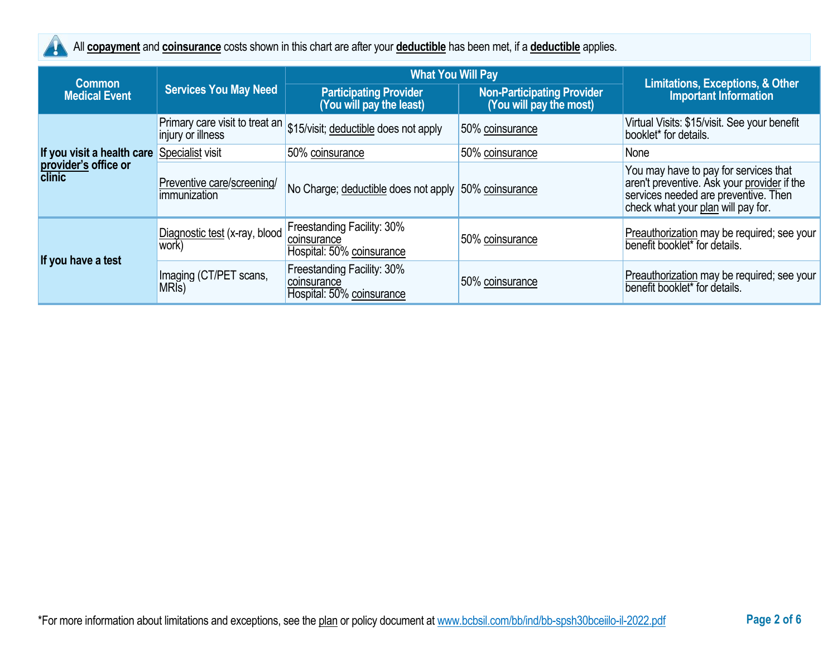

All **copayment** and **coinsurance** costs shown in this chart are after your **deductible** has been met, if a **deductible** applies.

|                                       |                                              | <b>What You Will Pay</b>                                               |                                                              |                                                                                                                                                                    |
|---------------------------------------|----------------------------------------------|------------------------------------------------------------------------|--------------------------------------------------------------|--------------------------------------------------------------------------------------------------------------------------------------------------------------------|
| <b>Common</b><br><b>Medical Event</b> | <b>Services You May Need</b>                 | <b>Participating Provider</b><br>(You will pay the least)              | <b>Non-Participating Provider</b><br>(You will pay the most) | <b>Limitations, Exceptions, &amp; Other</b><br><b>Important Information</b>                                                                                        |
|                                       | injury or illness                            | Primary care visit to treat an \$15/visit; deductible does not apply   | 50% coinsurance                                              | Virtual Visits: \$15/visit. See your benefit<br>booklet* for details.                                                                                              |
| If you visit a health care            | Specialist visit                             | 50% coinsurance                                                        | 50% coinsurance                                              | None                                                                                                                                                               |
| provider's office or<br>clinic        | Preventive care/screening/<br>immunization   | No Charge; deductible does not apply 50% coinsurance                   |                                                              | You may have to pay for services that<br>aren't preventive. Ask your provider if the<br>services needed are preventive. Then<br>check what your plan will pay for. |
|                                       | Diagnostic test (x-ray, blood<br>work)       | Freestanding Facility: 30%<br>coinsurance<br>Hospital: 50% coinsurance | 50% coinsurance                                              | Preauthorization may be required; see your<br>benefit booklet* for details.                                                                                        |
| If you have a test                    | Imaging (CT/PET scans,<br>MRI <sub>s</sub> ) | Freestanding Facility: 30%<br>coinsurance<br>Hospital: 50% coinsurance | 50% coinsurance                                              | Preauthorization may be required; see your<br>benefit booklet <sup>*</sup> for details.                                                                            |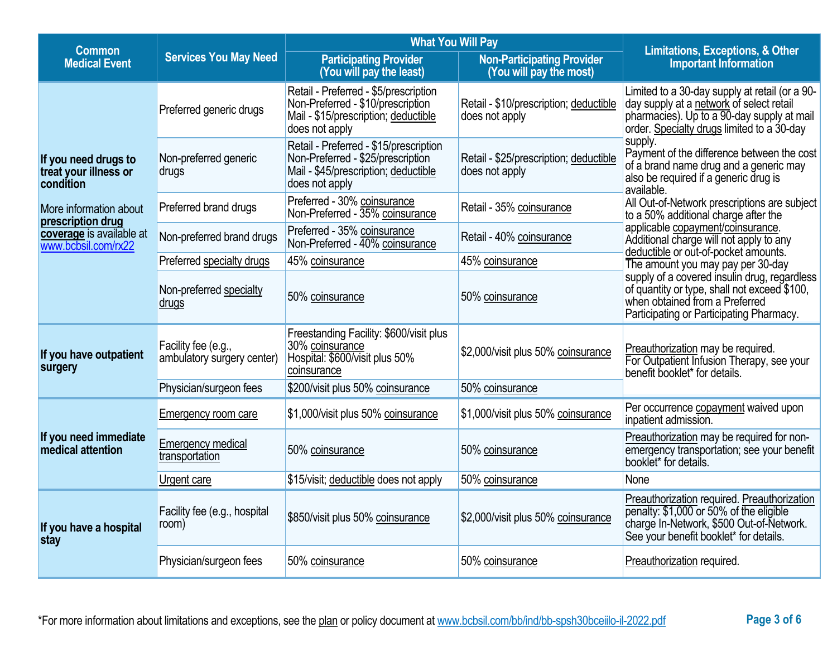| <b>Common</b>                                              |                                                   | <b>What You Will Pay</b><br><b>Non-Participating Provider</b><br><b>Participating Provider</b><br>(You will pay the least)<br>(You will pay the most) |                                                          | <b>Limitations, Exceptions, &amp; Other</b><br><b>Important Information</b>                                                                                                            |  |
|------------------------------------------------------------|---------------------------------------------------|-------------------------------------------------------------------------------------------------------------------------------------------------------|----------------------------------------------------------|----------------------------------------------------------------------------------------------------------------------------------------------------------------------------------------|--|
| <b>Medical Event</b>                                       | <b>Services You May Need</b>                      |                                                                                                                                                       |                                                          |                                                                                                                                                                                        |  |
|                                                            | Preferred generic drugs                           | Retail - Preferred - \$5/prescription<br>Non-Preferred - \$10/prescription<br>Mail - \$15/prescription; deductible<br>does not apply                  | Retail - \$10/prescription; deductible<br>does not apply | Limited to a 30-day supply at retail (or a 90-<br>day supply at a network of select retail<br>pharmacies). Up to a 90-day supply at mail<br>order. Specialty drugs limited to a 30-day |  |
| If you need drugs to<br>treat your illness or<br>condition | Non-preferred generic<br>drugs                    | Retail - Preferred - \$15/prescription<br>Non-Preferred - \$25/prescription<br>Mail - \$45/prescription; deductible<br>does not apply                 | Retail - \$25/prescription; deductible<br>does not apply | supply.<br>Payment of the difference between the cost<br>of a brand name drug and a generic may<br>also be required if a generic drug is<br>available.                                 |  |
| More information about<br>prescription drug                | Preferred brand drugs                             | Preferred - 30% coinsurance<br>Non-Preferred - 35% coinsurance                                                                                        | Retail - 35% coinsurance                                 | All Out-of-Network prescriptions are subject<br>to a 50% additional charge after the                                                                                                   |  |
| coverage is available at<br>www.bcbsil.com/rx22            | Non-preferred brand drugs                         | Preferred - 35% coinsurance<br>Non-Preferred - 40% coinsurance                                                                                        | Retail - 40% coinsurance                                 | applicable copayment/coinsurance.<br>Additional charge will not apply to any<br>deductible or out-of-pocket amounts.                                                                   |  |
|                                                            | Preferred specialty drugs                         | 45% coinsurance                                                                                                                                       | 45% coinsurance                                          | The amount you may pay per 30-day                                                                                                                                                      |  |
|                                                            | Non-preferred specialty<br>drugs                  | 50% coinsurance                                                                                                                                       | 50% coinsurance                                          | supply of a covered insulin drug, regardless<br>of quantity or type, shall not exceed \$100,<br>when obtained from a Preferred<br>Participating or Participating Pharmacy.             |  |
| If you have outpatient<br>surgery                          | Facility fee (e.g.,<br>ambulatory surgery center) | Freestanding Facility: \$600/visit plus<br>30% coinsurance<br>Hospital: \$600/visit plus 50%<br>coinsurance                                           | \$2,000/visit plus 50% coinsurance                       | Preauthorization may be required.<br>For Outpatient Infusion Therapy, see your<br>benefit booklet* for details.                                                                        |  |
|                                                            | Physician/surgeon fees                            | \$200/visit plus 50% coinsurance                                                                                                                      | 50% coinsurance                                          |                                                                                                                                                                                        |  |
|                                                            | <b>Emergency room care</b>                        | \$1,000/visit plus 50% coinsurance                                                                                                                    | \$1,000/visit plus 50% coinsurance                       | Per occurrence copayment waived upon<br>inpatient admission.                                                                                                                           |  |
| If you need immediate<br>medical attention                 | <b>Emergency medical</b><br>transportation        | 50% coinsurance                                                                                                                                       | 50% coinsurance                                          | Preauthorization may be required for non-<br>emergency transportation; see your benefit<br>booklet* for details.                                                                       |  |
|                                                            | Urgent care                                       | \$15/visit; deductible does not apply                                                                                                                 | 50% coinsurance                                          | None                                                                                                                                                                                   |  |
| If you have a hospital<br>stay                             | Facility fee (e.g., hospital<br>room)             | \$850/visit plus 50% coinsurance                                                                                                                      | \$2,000/visit plus 50% coinsurance                       | Preauthorization required. Preauthorization<br>penalty: \$1,000 or 50% of the eligible<br>charge In-Network, \$500 Out-of-Network.<br>See your benefit booklet* for details.           |  |
|                                                            | Physician/surgeon fees                            | 50% coinsurance                                                                                                                                       | 50% coinsurance                                          | Preauthorization required.                                                                                                                                                             |  |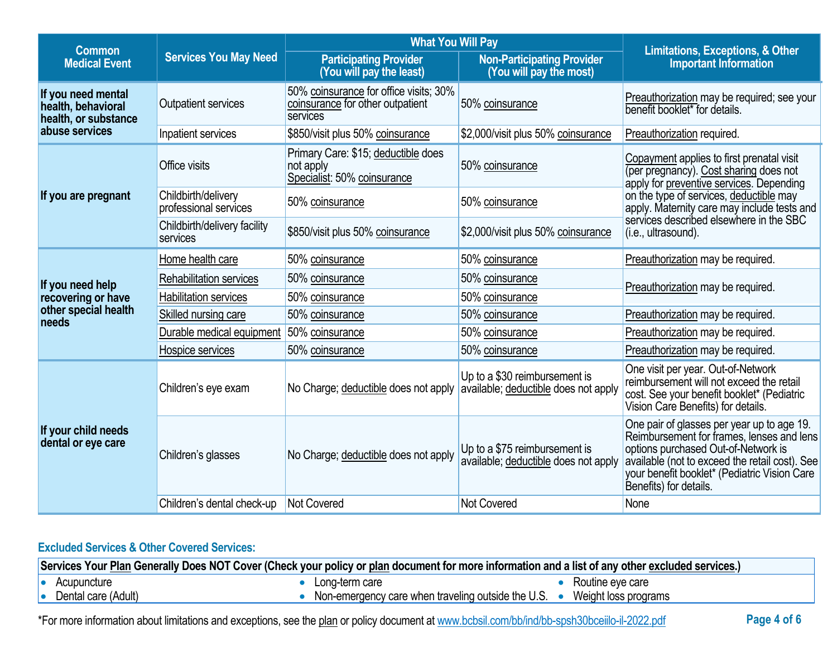| <b>What You Will Pay</b><br><b>Common</b><br><b>Services You May Need</b><br><b>Participating Provider</b><br><b>Medical Event</b><br>(You will pay the least) |                                              |                                                                                        | <b>Limitations, Exceptions, &amp; Other</b>                           |                                                                                                                                                                                                                                                            |  |
|----------------------------------------------------------------------------------------------------------------------------------------------------------------|----------------------------------------------|----------------------------------------------------------------------------------------|-----------------------------------------------------------------------|------------------------------------------------------------------------------------------------------------------------------------------------------------------------------------------------------------------------------------------------------------|--|
|                                                                                                                                                                |                                              |                                                                                        | <b>Non-Participating Provider</b><br>(You will pay the most)          | <b>Important Information</b>                                                                                                                                                                                                                               |  |
| If you need mental<br>health, behavioral<br>health, or substance                                                                                               | Outpatient services                          | 50% coinsurance for office visits; 30%<br>coinsurance for other outpatient<br>services | 50% coinsurance                                                       | Preauthorization may be required; see your<br>benefit booklet* for details.                                                                                                                                                                                |  |
| abuse services                                                                                                                                                 | Inpatient services                           | \$850/visit plus 50% coinsurance                                                       | \$2,000/visit plus 50% coinsurance                                    | Preauthorization required.                                                                                                                                                                                                                                 |  |
|                                                                                                                                                                | Office visits                                | Primary Care: \$15; deductible does<br>not apply<br>Specialist: 50% coinsurance        | 50% coinsurance                                                       | Copayment applies to first prenatal visit<br>(per pregnancy). Cost sharing does not<br>apply for preventive services. Depending                                                                                                                            |  |
| If you are pregnant                                                                                                                                            | Childbirth/delivery<br>professional services | 50% coinsurance                                                                        | 50% coinsurance                                                       | on the type of services, deductible may<br>apply. Maternity care may include tests and                                                                                                                                                                     |  |
|                                                                                                                                                                | Childbirth/delivery facility<br>services     | \$850/visit plus 50% coinsurance                                                       | \$2,000/visit plus 50% coinsurance                                    | services described elsewhere in the SBC<br>(i.e., ultrasound).                                                                                                                                                                                             |  |
|                                                                                                                                                                | Home health care                             | 50% coinsurance                                                                        | 50% coinsurance                                                       | Preauthorization may be required.                                                                                                                                                                                                                          |  |
| If you need help                                                                                                                                               | <b>Rehabilitation services</b>               | 50% coinsurance<br>50% coinsurance                                                     |                                                                       | Preauthorization may be required.                                                                                                                                                                                                                          |  |
| recovering or have                                                                                                                                             | <b>Habilitation services</b>                 | 50% coinsurance                                                                        | 50% coinsurance                                                       |                                                                                                                                                                                                                                                            |  |
| other special health<br>needs                                                                                                                                  | Skilled nursing care                         | 50% coinsurance                                                                        | 50% coinsurance                                                       | Preauthorization may be required.                                                                                                                                                                                                                          |  |
|                                                                                                                                                                | Durable medical equipment                    | 50% coinsurance                                                                        | 50% coinsurance                                                       | Preauthorization may be required.                                                                                                                                                                                                                          |  |
|                                                                                                                                                                | Hospice services                             | 50% coinsurance                                                                        | 50% coinsurance                                                       | Preauthorization may be required.                                                                                                                                                                                                                          |  |
| If your child needs<br>dental or eye care                                                                                                                      | Children's eye exam                          | No Charge; deductible does not apply                                                   | Up to a \$30 reimbursement is<br>available; deductible does not apply | One visit per year. Out-of-Network<br>reimbursement will not exceed the retail<br>cost. See your benefit booklet* (Pediatric<br>Vision Care Benefits) for details.                                                                                         |  |
|                                                                                                                                                                | Children's glasses                           | No Charge; deductible does not apply                                                   | Up to a \$75 reimbursement is<br>available; deductible does not apply | One pair of glasses per year up to age 19.<br>Reimbursement for frames, lenses and lens<br>options purchased Out-of-Network is<br>available (not to exceed the retail cost). See<br>your benefit booklet* (Pediatric Vision Care<br>Benefits) for details. |  |
|                                                                                                                                                                | Children's dental check-up                   | Not Covered                                                                            | <b>Not Covered</b>                                                    | None                                                                                                                                                                                                                                                       |  |

# **Excluded Services & Other Covered Services:**

| Services Your Plan Generally Does NOT Cover (Check your policy or plan document for more information and a list of any other excluded services.) |                                                    |                      |  |
|--------------------------------------------------------------------------------------------------------------------------------------------------|----------------------------------------------------|----------------------|--|
| Acupuncture                                                                                                                                      | Long-term care                                     | Routine eve care     |  |
| Dental care (Adult)                                                                                                                              | Non-emergency care when traveling outside the U.S. | Weight loss programs |  |

\*For more information about limitations and exceptions, see the plan or policy document at www.bcbsil.com/bb/ind/bb-spsh30bceiilo-il-2022.pdf **Page 4 of 6**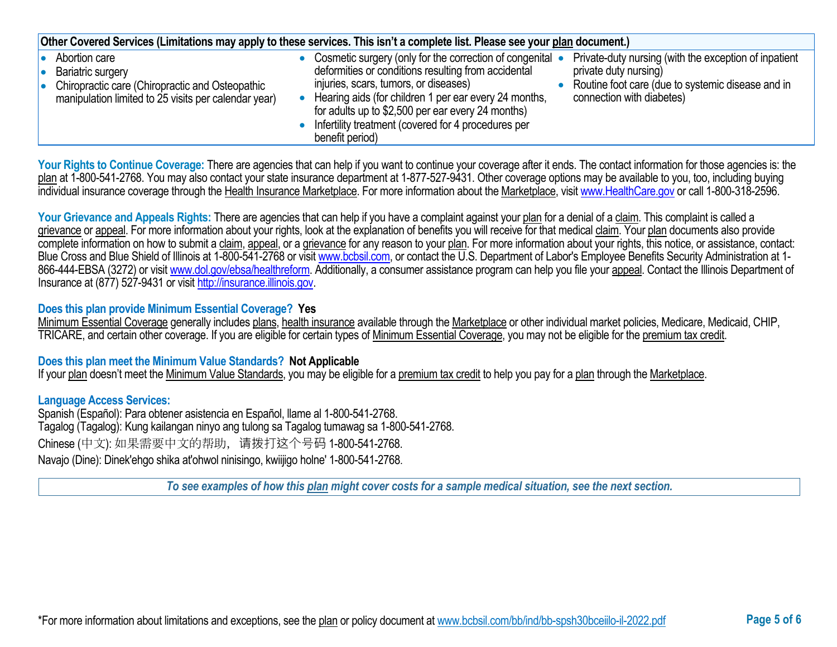| Other Covered Services (Limitations may apply to these services. This isn't a complete list. Please see your plan document.)                         |  |                                                                                                                                                                                                                                                                                                                                                   |  |                                                                                                                                                                  |
|------------------------------------------------------------------------------------------------------------------------------------------------------|--|---------------------------------------------------------------------------------------------------------------------------------------------------------------------------------------------------------------------------------------------------------------------------------------------------------------------------------------------------|--|------------------------------------------------------------------------------------------------------------------------------------------------------------------|
| Abortion care<br><b>Bariatric surgery</b><br>Chiropractic care (Chiropractic and Osteopathic<br>manipulation limited to 25 visits per calendar year) |  | Cosmetic surgery (only for the correction of congenital •<br>deformities or conditions resulting from accidental<br>injuries, scars, tumors, or diseases)<br>Hearing aids (for children 1 per ear every 24 months,<br>for adults up to \$2,500 per ear every 24 months)<br>Infertility treatment (covered for 4 procedures per<br>benefit period) |  | Private-duty nursing (with the exception of inpatient<br>private duty nursing)<br>Routine foot care (due to systemic disease and in<br>connection with diabetes) |

Your Rights to Continue Coverage: There are agencies that can help if you want to continue your coverage after it ends. The contact information for those agencies is: the plan at 1-800-541-2768. You may also contact your state insurance department at 1-877-527-9431. Other coverage options may be available to you, too, including buying individual insurance coverage through the Health Insurance Marketplace. For more information about the Marketplace, visi[t www.HealthCare.gov](http://www.healthcare.gov/) or call 1-800-318-2596.

Your Grievance and Appeals Rights: There are agencies that can help if you have a complaint against your plan for a denial of a claim. This complaint is called a grievance or appeal. For more information about your rights, look at the explanation of benefits you will receive for that medical claim. Your plan documents also provide complete information on how to submit a claim, appeal, or a grievance for any reason to your plan. For more information about your rights, this notice, or assistance, contact: Blue Cross and Blue Shield of Illinois at 1-800-541-2768 or visit [www.bcbsil.com,](http://www.bcbsil.com/) or contact the U.S. Department of Labor's Employee Benefits Security Administration at 1866-444-EBSA (3272) or visit [www.dol.gov/ebsa/healthreform.](http://www.dol.gov/ebsa/healthreform) Additionally, a consumer assistance program can help you file your appeal. Contact the Illinois Department of Insurance at (877) 527-9431 or visi[t http://insurance.illinois.gov.](http://insurance.illinois.gov/)

### **Does this plan provide Minimum Essential Coverage? Yes**

Minimum Essential Coverage generally includes plans, health insurance available through the Marketplace or other individual market policies, Medicare, Medicaid, CHIP, TRICARE, and certain other coverage. If you are eligible for certain types of Minimum Essential Coverage, you may not be eligible for the premium tax credit.

#### **Does this plan meet the Minimum Value Standards? Not Applicable**

If your plan doesn't meet the Minimum Value Standards, you may be eligible for a premium tax credit to help you pay for a plan through the Marketplace.

#### **Language Access Services:**

Spanish (Español): Para obtener asistencia en Español, llame al 1-800-541-2768. Tagalog (Tagalog): Kung kailangan ninyo ang tulong sa Tagalog tumawag sa 1-800-541-2768. Chinese (中文): 如果需要中文的帮助,请拨打这个号码 1-800-541-2768. Navajo (Dine): Dinek'ehgo shika at'ohwol ninisingo, kwiijigo holne' 1-800-541-2768.

*To see examples of how this plan might cover costs for a sample medical situation, see the next section.*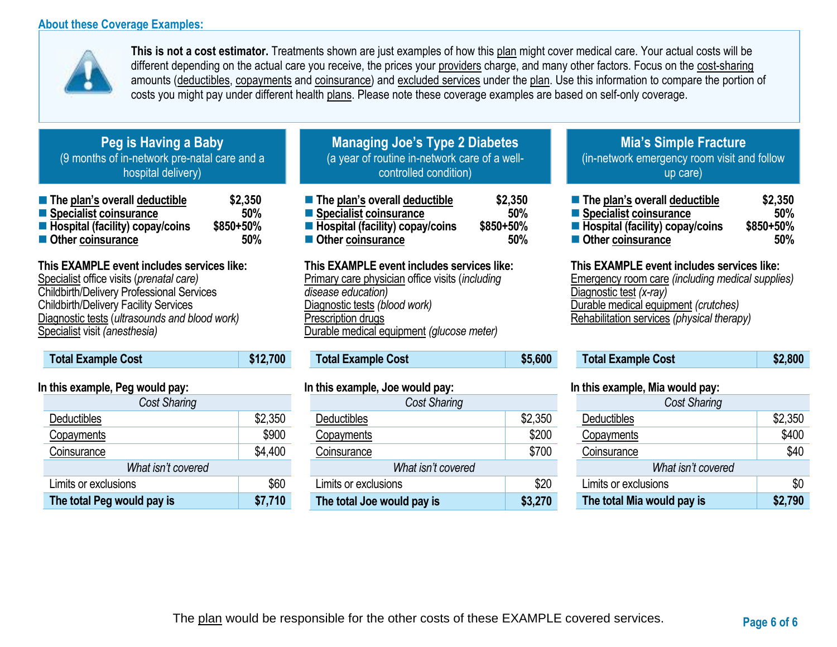### **About these Coverage Examples:**



**This is not a cost estimator.** Treatments shown are just examples of how this plan might cover medical care. Your actual costs will be different depending on the actual care you receive, the prices your providers charge, and many other factors. Focus on the cost-sharing amounts (deductibles, copayments and coinsurance) and excluded services under the plan. Use this information to compare the portion of costs you might pay under different health plans. Please note these coverage examples are based on self-only coverage.

### **Peg is Having a Baby** (9 months of in-network pre-natal care and a hospital delivery)

| The plan's overall deductible     | \$2,350   |
|-----------------------------------|-----------|
| Specialist coinsurance            | 50%       |
| ■ Hospital (facility) copay/coins | \$850+50% |
| Other coinsurance                 | 50%       |

# **This EXAMPLE event includes services like:**

Specialist office visits (*prenatal care)* Childbirth/Delivery Professional Services Childbirth/Delivery Facility Services Diagnostic tests (*ultrasounds and blood work)* Specialist visit *(anesthesia)* 

# **Total Example Cost \$12,700**

### **In this example, Peg would pay:**

| <b>Cost Sharing</b>        |         |
|----------------------------|---------|
| Deductibles                | \$2,350 |
| Copayments                 | \$900   |
| Coinsurance                | \$4,400 |
| What isn't covered         |         |
| Limits or exclusions       | \$60    |
| The total Peg would pay is | \$7,710 |

# **Managing Joe's Type 2 Diabetes** (a year of routine in-network care of a wellcontrolled condition)

| The plan's overall deductible                  | \$2,350   |
|------------------------------------------------|-----------|
| ■ Specialist coinsurance                       | 50%       |
| $\blacksquare$ Hospital (facility) copay/coins | \$850+50% |
| ■ Other coinsurance                            | 50%       |

### **This EXAMPLE event includes services like:**

Primary care physician office visits (*including disease education)* Diagnostic tests *(blood work)* Prescription drugs Durable medical equipment *(glucose meter)* 

# **Total Example Cost \$5,600**

#### **In this example, Joe would pay:**

| Cost Sharing               |         |
|----------------------------|---------|
| Deductibles                | \$2,350 |
| Copayments                 | \$200   |
| Coinsurance                | \$700   |
| What isn't covered         |         |
| Limits or exclusions       | \$20    |
| The total Joe would pay is | \$3,270 |

# **Mia's Simple Fracture** (in-network emergency room visit and follow up care)

| ■ The plan's overall deductible   | \$2,350   |
|-----------------------------------|-----------|
| ■ Specialist coinsurance          | 50%       |
| ■ Hospital (facility) copay/coins | \$850+50% |
| ■ Other coinsurance               | 50%       |

### **This EXAMPLE event includes services like:**

Emergency room care *(including medical supplies)* Diagnostic test *(x-ray)* Durable medical equipment *(crutches)* Rehabilitation services *(physical therapy)*

| <b>Total Example Cost</b> | \$2,800 |
|---------------------------|---------|
|---------------------------|---------|

### **In this example, Mia would pay:**

| <b>Cost Sharing</b>        |         |  |
|----------------------------|---------|--|
| <b>Deductibles</b>         | \$2,350 |  |
| Copayments                 | \$400   |  |
| Coinsurance                | \$40    |  |
| What isn't covered         |         |  |
| Limits or exclusions       | \$0     |  |
| The total Mia would pay is | \$2,790 |  |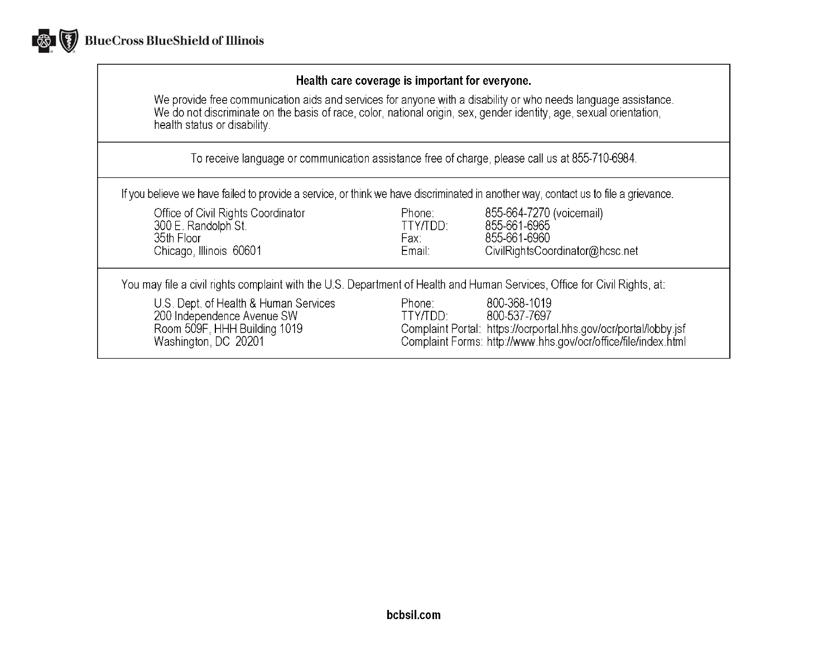

### Health care coverage is important for everyone.

We provide free communication aids and services for anyone with a disability or who needs language assistance.<br>We do not discriminate on the basis of race, color, national origin, sex, gender identity, age, sexual orientat health status or disability.

To receive language or communication assistance free of charge, please call us at 855-710-6984.

If you believe we have failed to provide a service, or think we have discriminated in another way, contact us to file a grievance.

| Office of Civil Rights Coordinator<br>300 E. Randolph St.<br>35th Floor<br>Chicago, Illinois 60601                          | Phone:<br>TTY/TDD:<br>Fax:<br>Email: | 855-664-7270 (voicemail)<br>855-661-6965<br>855-661-6960<br>CivilRightsCoordinator@hcsc.net                                                                        |
|-----------------------------------------------------------------------------------------------------------------------------|--------------------------------------|--------------------------------------------------------------------------------------------------------------------------------------------------------------------|
| You may file a civil rights complaint with the U.S. Department of Health and Human Services, Office for Civil Rights, at:   |                                      |                                                                                                                                                                    |
| U.S. Dept. of Health & Human Services<br>200 Independence Avenue SW<br>Room 509F, HHH Building 1019<br>Washington, DC 20201 | Phone:<br>TTY/TDD:                   | 800-368-1019<br>800-537-7697<br>Complaint Portal: https://ocrportal.hhs.gov/ocr/portal/lobby.jsf<br>Complaint Forms: http://www.hhs.gov/ocr/office/file/index.html |